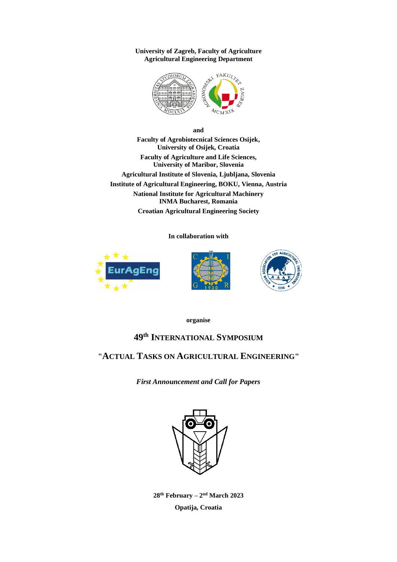**University of Zagreb, Faculty of Agriculture Agricultural Engineering Department**



**and Faculty of Agrobiotecnical Sciences Osijek, University of Osijek, Croatia Faculty of Agriculture and Life Sciences, University of Maribor, Slovenia Agricultural Institute of Slovenia, Ljubljana, Slovenia Institute of Agricultural Engineering, BOKU, Vienna, Austria National Institute for Agricultural Machinery INMA Bucharest, Romania Croatian Agricultural Engineering Society**

**In collaboration with**







**organise**

# **49 th INTERNATIONAL SYMPOSIUM**

# **"ACTUAL TASKS ON AGRICULTURAL ENGINEERING"**

*First Announcement and Call for Papers*



**28 th February – 2 nd March 2023 Opatija, Croatia**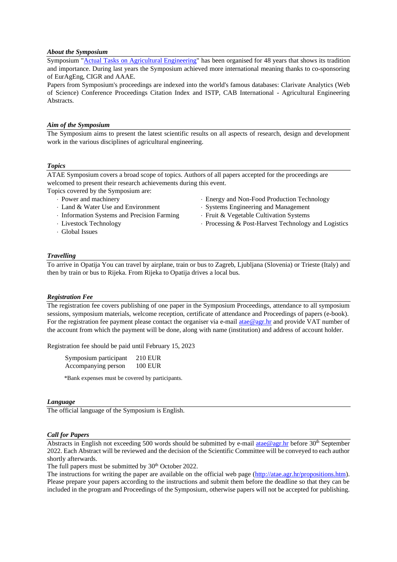#### *About the Symposium*

Symposium ["Actual Tasks on Agricultural Engineering"](http://atae.agr.hr/) has been organised for 48 years that shows its tradition and importance. During last years the Symposium achieved more international meaning thanks to co-sponsoring of EurAgEng, CIGR and AAAE.

Papers from Symposium's proceedings are indexed into the world's famous databases: Clarivate Analytics (Web of Science) Conference Proceedings Citation Index and ISTP, CAB International - Agricultural Engineering Abstracts.

## *Aim of the Symposium*

The Symposium aims to present the latest scientific results on all aspects of research, design and development work in the various disciplines of agricultural engineering.

## *Topics*

ATAE Symposium covers a broad scope of topics. Authors of all papers accepted for the proceedings are welcomed to present their research achievements during this event.

Topics covered by the Symposium are:

- Power and machinery
- Land & Water Use and Environment
- Information Systems and Precision Farming
- Livestock Technology
- Global Issues
- Energy and Non-Food Production Technology
- Systems Engineering and Management
- Fruit & Vegetable Cultivation Systems
- Processing & Post-Harvest Technology and Logistics

## *Travelling*

To arrive in Opatija You can travel by airplane, train or bus to Zagreb, Ljubljana (Slovenia) or Trieste (Italy) and then by train or bus to Rijeka. From Rijeka to Opatija drives a local bus.

#### *Registration Fee*

The registration fee covers publishing of one paper in the Symposium Proceedings, attendance to all symposium sessions, symposium materials, welcome reception, certificate of attendance and Proceedings of papers (e-book). For the registration fee payment please contact the organiser via e-mail [atae@agr.hr](mailto:atae@agr.hr) and provide VAT number of the account from which the payment will be done, along with name (institution) and address of account holder.

Registration fee should be paid until February 15, 2023

| Symposium participant | 210 EUR        |
|-----------------------|----------------|
| Accompanying person   | <b>100 EUR</b> |

\*Bank expenses must be covered by participants.

#### *Language*

The official language of the Symposium is English.

#### *Call for Papers*

Abstracts in English not exceeding 500 words should be submitted by e-mail [atae@agr.hr](mailto:atae@agr.hr) before 30<sup>th</sup> September 2022. Each Abstract will be reviewed and the decision of the Scientific Committee will be conveyed to each author shortly afterwards.

The full papers must be submitted by  $30<sup>th</sup>$  October 2022.

The instructions for writing the paper are available on the official web page [\(http://atae.agr.hr/propositions.htm\)](http://atae.agr.hr/propositions.htm). Please prepare your papers according to the instructions and submit them before the deadline so that they can be included in the program and Proceedings of the Symposium, otherwise papers will not be accepted for publishing.